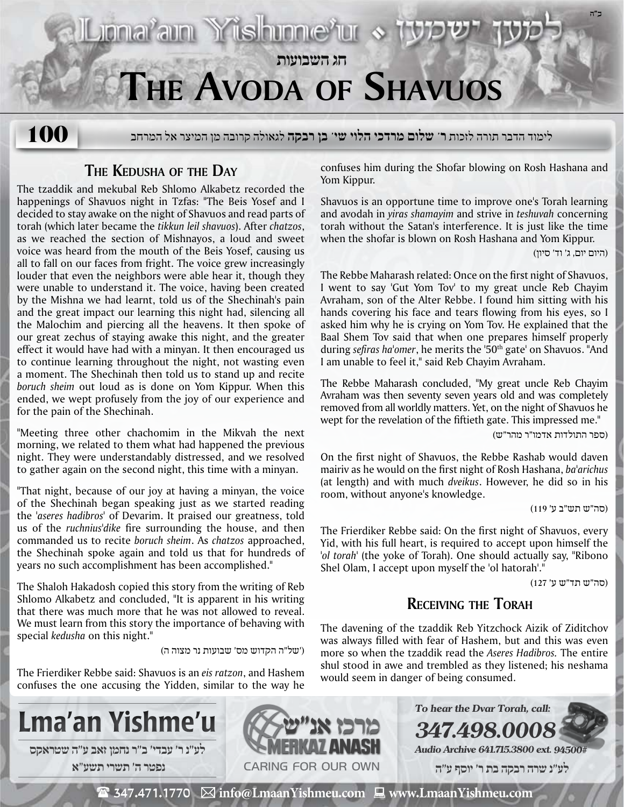

**The Kedusha of the Day**

The tzaddik and mekubal Reb Shlomo Alkabetz recorded the happenings of Shavuos night in Tzfas: "The Beis Yosef and I decided to stay awake on the night of Shavuos and read parts of torah (which later became the *tikkun leil shavuos*). After *chatzos*, as we reached the section of Mishnayos, a loud and sweet voice was heard from the mouth of the Beis Yosef, causing us all to fall on our faces from fright. The voice grew increasingly louder that even the neighbors were able hear it, though they were unable to understand it. The voice, having been created by the Mishna we had learnt, told us of the Shechinah's pain and the great impact our learning this night had, silencing all the Malochim and piercing all the heavens. It then spoke of our great zechus of staying awake this night, and the greater effect it would have had with a minyan. It then encouraged us to continue learning throughout the night, not wasting even a moment. The Shechinah then told us to stand up and recite *boruch sheim* out loud as is done on Yom Kippur. When this ended, we wept profusely from the joy of our experience and for the pain of the Shechinah.

"Meeting three other chachomim in the Mikvah the next morning, we related to them what had happened the previous night. They were understandably distressed, and we resolved to gather again on the second night, this time with a minyan.

"That night, because of our joy at having a minyan, the voice of the Shechinah began speaking just as we started reading the *'aseres hadibros'* of Devarim. It praised our greatness, told us of the *ruchnius'dike* fire surrounding the house, and then commanded us to recite *boruch sheim*. As *chatzos* approached, the Shechinah spoke again and told us that for hundreds of years no such accomplishment has been accomplished."

The Shaloh Hakadosh copied this story from the writing of Reb Shlomo Alkabetz and concluded, "It is apparent in his writing that there was much more that he was not allowed to reveal. We must learn from this story the importance of behaving with special *kedusha* on this night."

('של"ה הקדוש מס' שבועות נר מצוה ה)

The Frierdiker Rebbe said: Shavuos is an *eis ratzon*, and Hashem confuses the one accusing the Yidden, similar to the way he confuses him during the Shofar blowing on Rosh Hashana and Yom Kippur.

Shavuos is an opportune time to improve one's Torah learning and avodah in *yiras shamayim* and strive in *teshuvah* concerning torah without the Satan's interference. It is just like the time when the shofar is blown on Rosh Hashana and Yom Kippur.

(היום יום, ג' וד' סיון)

The Rebbe Maharash related: Once on the first night of Shavuos, I went to say 'Gut Yom Tov' to my great uncle Reb Chayim Avraham, son of the Alter Rebbe. I found him sitting with his hands covering his face and tears flowing from his eyes, so I asked him why he is crying on Yom Tov. He explained that the Baal Shem Tov said that when one prepares himself properly during *sefiras ha'omer*, he merits the '50<sup>th</sup> gate' on Shavuos. "And I am unable to feel it," said Reb Chayim Avraham.

The Rebbe Maharash concluded, "My great uncle Reb Chayim Avraham was then seventy seven years old and was completely removed from all worldly matters. Yet, on the night of Shavuos he wept for the revelation of the fiftieth gate. This impressed me."

(ספר התולדות אדמו"ר מהר"ש)

On the first night of Shavuos, the Rebbe Rashab would daven mairiv as he would on the first night of Rosh Hashana, *ba'arichus* (at length) and with much *dveikus*. However, he did so in his room, without anyone's knowledge.

(סה"ש תש"ב ע' 119)

The Frierdiker Rebbe said: On the first night of Shavuos, every Yid, with his full heart, is required to accept upon himself the *'ol torah'* (the yoke of Torah). One should actually say, "Ribono Shel Olam, I accept upon myself the 'ol hatorah'."

(סה"ש תד"ש ע' 127)

# **Receiving the Torah**

The davening of the tzaddik Reb Yitzchock Aizik of Ziditchov was always filled with fear of Hashem, but and this was even more so when the tzaddik read the *Aseres Hadibros.* The entire shul stood in awe and trembled as they listened; his neshama would seem in danger of being consumed.

**347.498.0008**

**To hear the Dvar Torah, call:**

**Audio Archive 641.715.3800 ext. 94500#**





 $\mathbf{\mathcal{F}}$  347.471.1770  $\ \boxtimes$  info@LmaanYishmeu.com  $\ \blacksquare$  www.LmaanYishmeu.com  **לע"נ שרה רבקה בת ר׳ יוסף ע"ה**